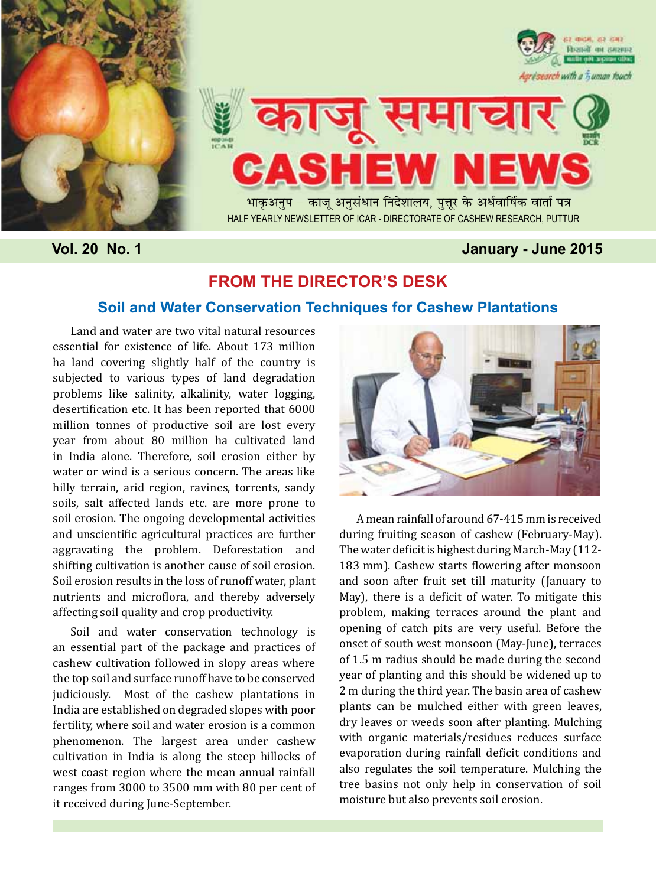



भाकुअनुप – काजू अनुसंधान निदेशालय, पुत्तूर के अर्धवार्षिक वार्ता पत्र Half yearly newsletter of ICAR - Directorate of Cashew research, puttur

# **Vol. 20 No. 1 January - June 2015**

# **FROM THE DIRECTOR'S DESK**

# **Soil and Water Conservation Techniques for Cashew Plantations**

Land and water are two vital natural resources essential for existence of life. About 173 million ha land covering slightly half of the country is subjected to various types of land degradation problems like salinity, alkalinity, water logging, desertification etc. It has been reported that 6000 million tonnes of productive soil are lost every year from about 80 million ha cultivated land in India alone. Therefore, soil erosion either by water or wind is a serious concern. The areas like hilly terrain, arid region, ravines, torrents, sandy soils, salt affected lands etc. are more prone to soil erosion. The ongoing developmental activities and unscientific agricultural practices are further aggravating the problem. Deforestation and shifting cultivation is another cause of soil erosion. Soil erosion results in the loss of runoff water, plant nutrients and microflora, and thereby adversely affecting soil quality and crop productivity.

Soil and water conservation technology is an essential part of the package and practices of cashew cultivation followed in slopy areas where the top soil and surface runoff have to be conserved judiciously. Most of the cashew plantations in India are established on degraded slopes with poor fertility, where soil and water erosion is a common phenomenon. The largest area under cashew cultivation in India is along the steep hillocks of west coast region where the mean annual rainfall ranges from 3000 to 3500 mm with 80 per cent of it received during June-September.



A mean rainfall of around 67-415 mm is received during fruiting season of cashew (February-May). The water deficit is highest during March-May (112- 183 mm). Cashew starts flowering after monsoon and soon after fruit set till maturity (January to May), there is a deficit of water. To mitigate this problem, making terraces around the plant and opening of catch pits are very useful. Before the onset of south west monsoon (May-June), terraces of 1.5 m radius should be made during the second year of planting and this should be widened up to 2 m during the third year. The basin area of cashew plants can be mulched either with green leaves, dry leaves or weeds soon after planting. Mulching with organic materials/residues reduces surface evaporation during rainfall deficit conditions and also regulates the soil temperature. Mulching the tree basins not only help in conservation of soil moisture but also prevents soil erosion.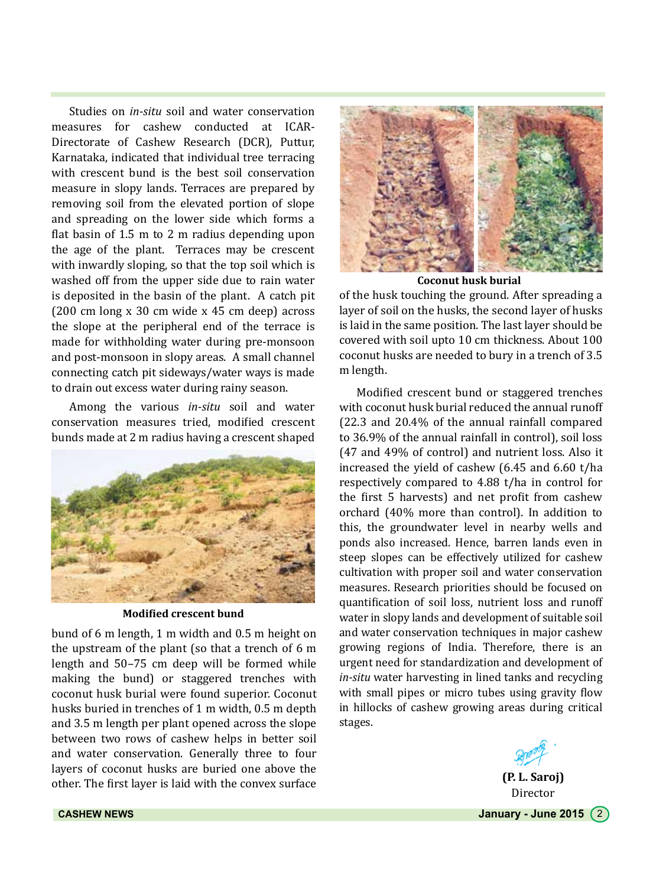Studies on *in-situ* soil and water conservation measures for cashew conducted at ICAR-Directorate of Cashew Research (DCR), Puttur, Karnataka, indicated that individual tree terracing with crescent bund is the best soil conservation measure in slopy lands. Terraces are prepared by removing soil from the elevated portion of slope and spreading on the lower side which forms a flat basin of 1.5 m to 2 m radius depending upon the age of the plant. Terraces may be crescent with inwardly sloping, so that the top soil which is washed off from the upper side due to rain water is deposited in the basin of the plant. A catch pit (200 cm long x 30 cm wide x 45 cm deep) across the slope at the peripheral end of the terrace is made for withholding water during pre-monsoon and post-monsoon in slopy areas. A small channel connecting catch pit sideways/water ways is made to drain out excess water during rainy season.

Among the various *in-situ* soil and water conservation measures tried, modified crescent bunds made at 2 m radius having a crescent shaped



**Modified crescent bund**

bund of 6 m length, 1 m width and 0.5 m height on the upstream of the plant (so that a trench of 6 m length and 50–75 cm deep will be formed while making the bund) or staggered trenches with coconut husk burial were found superior. Coconut husks buried in trenches of 1 m width, 0.5 m depth and 3.5 m length per plant opened across the slope between two rows of cashew helps in better soil and water conservation. Generally three to four layers of coconut husks are buried one above the other. The first layer is laid with the convex surface



**Coconut husk burial**

of the husk touching the ground. After spreading a layer of soil on the husks, the second layer of husks is laid in the same position. The last layer should be covered with soil upto 10 cm thickness. About 100 coconut husks are needed to bury in a trench of 3.5 m length.

Modified crescent bund or staggered trenches with coconut husk burial reduced the annual runoff (22.3 and 20.4% of the annual rainfall compared to 36.9% of the annual rainfall in control), soil loss (47 and 49% of control) and nutrient loss. Also it increased the yield of cashew (6.45 and 6.60 t/ha respectively compared to 4.88 t/ha in control for the first 5 harvests) and net profit from cashew orchard (40% more than control). In addition to this, the groundwater level in nearby wells and ponds also increased. Hence, barren lands even in steep slopes can be effectively utilized for cashew cultivation with proper soil and water conservation measures. Research priorities should be focused on quantification of soil loss, nutrient loss and runoff water in slopy lands and development of suitable soil and water conservation techniques in major cashew growing regions of India. Therefore, there is an urgent need for standardization and development of *in-situ* water harvesting in lined tanks and recycling with small pipes or micro tubes using gravity flow in hillocks of cashew growing areas during critical stages.



**CASHEW NEWS CASHEW NEWS January - June 2015**  $\begin{pmatrix} 2 \end{pmatrix}$ 

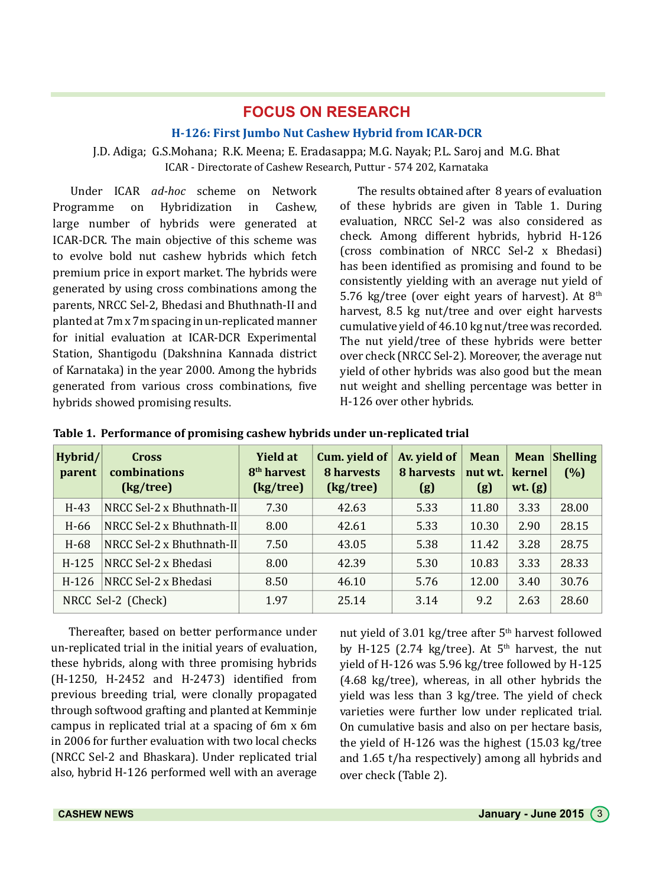# **FOCUS ON RESEARCH**

#### **H-126: First Jumbo Nut Cashew Hybrid from ICAR-DCR**

## J.D. Adiga; G.S.Mohana; R.K. Meena; E. Eradasappa; M.G. Nayak; P.L. Saroj and M.G. Bhat ICAR - Directorate of Cashew Research, Puttur - 574 202, Karnataka

Under ICAR *ad-hoc* scheme on Network Programme on Hybridization in Cashew, large number of hybrids were generated at ICAR-DCR. The main objective of this scheme was to evolve bold nut cashew hybrids which fetch premium price in export market. The hybrids were generated by using cross combinations among the parents, NRCC Sel-2, Bhedasi and Bhuthnath-II and planted at 7m x 7m spacing in un-replicated manner for initial evaluation at ICAR-DCR Experimental Station, Shantigodu (Dakshnina Kannada district of Karnataka) in the year 2000. Among the hybrids generated from various cross combinations, five hybrids showed promising results.

The results obtained after 8 years of evaluation of these hybrids are given in Table 1. During evaluation, NRCC Sel-2 was also considered as check. Among different hybrids, hybrid H-126 (cross combination of NRCC Sel-2 x Bhedasi) has been identified as promising and found to be consistently yielding with an average nut yield of 5.76 kg/tree (over eight years of harvest). At  $8<sup>th</sup>$ harvest, 8.5 kg nut/tree and over eight harvests cumulative yield of 46.10 kg nut/tree was recorded. The nut yield/tree of these hybrids were better over check (NRCC Sel-2). Moreover, the average nut yield of other hybrids was also good but the mean nut weight and shelling percentage was better in H-126 over other hybrids.

| Hybrid/<br>parent  | <b>Cross</b><br>combinations<br>(kg/tree) | Yield at<br>8 <sup>th</sup> harvest<br>(kg/tree) | Cum. yield of<br>8 harvests<br>(kg/tree) | Av. yield of<br>8 harvests<br>(g) | <b>Mean</b><br>nut wt.<br>(g) | Mean<br>kernel<br>wt. $(g)$ | <b>Shelling</b><br>(%) |
|--------------------|-------------------------------------------|--------------------------------------------------|------------------------------------------|-----------------------------------|-------------------------------|-----------------------------|------------------------|
| $H-43$             | NRCC Sel-2 x Bhuthnath-II                 | 7.30                                             | 42.63                                    | 5.33                              | 11.80                         | 3.33                        | 28.00                  |
| H-66               | NRCC Sel-2 x Bhuthnath-II                 | 8.00                                             | 42.61                                    | 5.33                              | 10.30                         | 2.90                        | 28.15                  |
| $H-68$             | NRCC Sel-2 x Bhuthnath-II                 | 7.50                                             | 43.05                                    | 5.38                              | 11.42                         | 3.28                        | 28.75                  |
| $H-125$            | NRCC Sel-2 x Bhedasi                      | 8.00                                             | 42.39                                    | 5.30                              | 10.83                         | 3.33                        | 28.33                  |
| $H-126$            | NRCC Sel-2 x Bhedasi                      | 8.50                                             | 46.10                                    | 5.76                              | 12.00                         | 3.40                        | 30.76                  |
| NRCC Sel-2 (Check) |                                           | 1.97                                             | 25.14                                    | 3.14                              | 9.2                           | 2.63                        | 28.60                  |

**Table 1. Performance of promising cashew hybrids under un-replicated trial**

Thereafter, based on better performance under un-replicated trial in the initial years of evaluation, these hybrids, along with three promising hybrids (H-1250, H-2452 and H-2473) identified from previous breeding trial, were clonally propagated through softwood grafting and planted at Kemminje campus in replicated trial at a spacing of 6m x 6m in 2006 for further evaluation with two local checks (NRCC Sel-2 and Bhaskara). Under replicated trial also, hybrid H-126 performed well with an average nut yield of 3.01 kg/tree after 5<sup>th</sup> harvest followed by H-125 (2.74 kg/tree). At  $5<sup>th</sup>$  harvest, the nut yield of H-126 was 5.96 kg/tree followed by H-125 (4.68 kg/tree), whereas, in all other hybrids the yield was less than 3 kg/tree. The yield of check varieties were further low under replicated trial. On cumulative basis and also on per hectare basis, the yield of H-126 was the highest (15.03 kg/tree and 1.65 t/ha respectively) among all hybrids and over check (Table 2).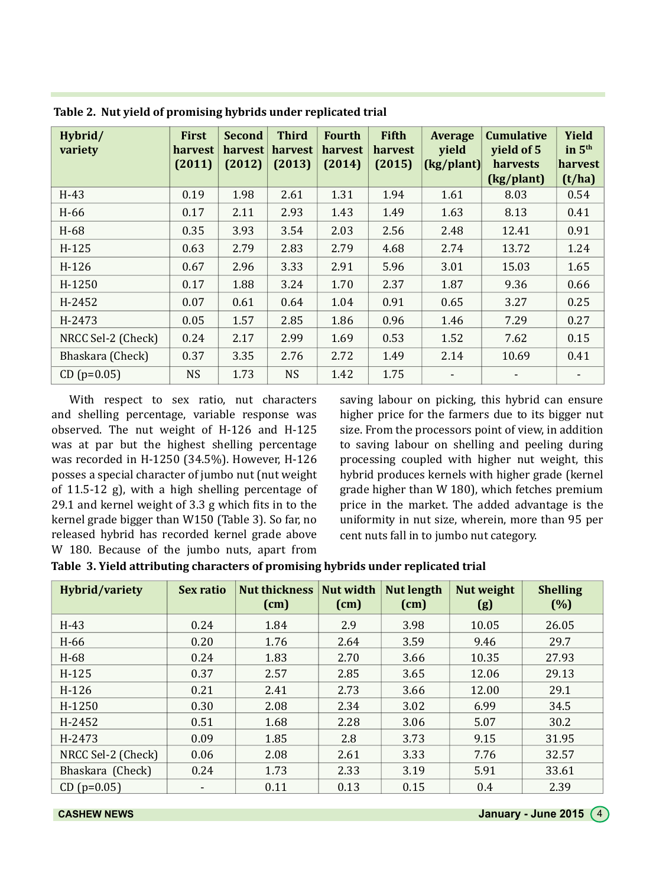| Hybrid/<br>variety | <b>First</b><br>harvest<br>(2011) | <b>Second</b><br>harvest<br>(2012) | <b>Third</b><br>harvest<br>(2013) | <b>Fourth</b><br>harvest<br>(2014) | <b>Fifth</b><br>harvest<br>(2015) | Average<br>yield<br>(kg/plant) | <b>Cumulative</b><br>yield of 5<br>harvests<br>(kg/plant) | Yield<br>in $5th$<br>harvest<br>(t/ha) |
|--------------------|-----------------------------------|------------------------------------|-----------------------------------|------------------------------------|-----------------------------------|--------------------------------|-----------------------------------------------------------|----------------------------------------|
| $H-43$             | 0.19                              | 1.98                               | 2.61                              | 1.31                               | 1.94                              | 1.61                           | 8.03                                                      | 0.54                                   |
| $H-66$             | 0.17                              | 2.11                               | 2.93                              | 1.43                               | 1.49                              | 1.63                           | 8.13                                                      | 0.41                                   |
| $H-68$             | 0.35                              | 3.93                               | 3.54                              | 2.03                               | 2.56                              | 2.48                           | 12.41                                                     | 0.91                                   |
| $H-125$            | 0.63                              | 2.79                               | 2.83                              | 2.79                               | 4.68                              | 2.74                           | 13.72                                                     | 1.24                                   |
| $H-126$            | 0.67                              | 2.96                               | 3.33                              | 2.91                               | 5.96                              | 3.01                           | 15.03                                                     | 1.65                                   |
| H-1250             | 0.17                              | 1.88                               | 3.24                              | 1.70                               | 2.37                              | 1.87                           | 9.36                                                      | 0.66                                   |
| H-2452             | 0.07                              | 0.61                               | 0.64                              | 1.04                               | 0.91                              | 0.65                           | 3.27                                                      | 0.25                                   |
| H-2473             | 0.05                              | 1.57                               | 2.85                              | 1.86                               | 0.96                              | 1.46                           | 7.29                                                      | 0.27                                   |
| NRCC Sel-2 (Check) | 0.24                              | 2.17                               | 2.99                              | 1.69                               | 0.53                              | 1.52                           | 7.62                                                      | 0.15                                   |
| Bhaskara (Check)   | 0.37                              | 3.35                               | 2.76                              | 2.72                               | 1.49                              | 2.14                           | 10.69                                                     | 0.41                                   |
| $CD (p=0.05)$      | <b>NS</b>                         | 1.73                               | <b>NS</b>                         | 1.42                               | 1.75                              | $\overline{\phantom{a}}$       |                                                           | $\overline{\phantom{a}}$               |

**Table 2. Nut yield of promising hybrids under replicated trial**

With respect to sex ratio, nut characters and shelling percentage, variable response was observed. The nut weight of H-126 and H-125 was at par but the highest shelling percentage was recorded in H-1250 (34.5%). However, H-126 posses a special character of jumbo nut (nut weight of 11.5-12 g), with a high shelling percentage of 29.1 and kernel weight of 3.3 g which fits in to the kernel grade bigger than W150 (Table 3). So far, no released hybrid has recorded kernel grade above W 180. Because of the jumbo nuts, apart from

saving labour on picking, this hybrid can ensure higher price for the farmers due to its bigger nut size. From the processors point of view, in addition to saving labour on shelling and peeling during processing coupled with higher nut weight, this hybrid produces kernels with higher grade (kernel grade higher than W 180), which fetches premium price in the market. The added advantage is the uniformity in nut size, wherein, more than 95 per cent nuts fall in to jumbo nut category.

**Table 3. Yield attributing characters of promising hybrids under replicated trial**

| Hybrid/variety     | Sex ratio                | <b>Nut thickness</b><br>(cm) | Nut width<br>(cm) | <b>Nut length</b><br>(cm) | Nut weight<br>(g) | <b>Shelling</b><br>(%) |
|--------------------|--------------------------|------------------------------|-------------------|---------------------------|-------------------|------------------------|
| $H-43$             | 0.24                     | 1.84                         | 2.9               | 3.98                      | 10.05             | 26.05                  |
| H-66               | 0.20                     | 1.76                         | 2.64              | 3.59                      | 9.46              | 29.7                   |
| $H-68$             | 0.24                     | 1.83                         | 2.70              | 3.66                      | 10.35             | 27.93                  |
| $H-125$            | 0.37                     | 2.57                         | 2.85              | 3.65                      | 12.06             | 29.13                  |
| $H-126$            | 0.21                     | 2.41                         | 2.73              | 3.66                      | 12.00             | 29.1                   |
| H-1250             | 0.30                     | 2.08                         | 2.34              | 3.02                      | 6.99              | 34.5                   |
| H-2452             | 0.51                     | 1.68                         | 2.28              | 3.06                      | 5.07              | 30.2                   |
| H-2473             | 0.09                     | 1.85                         | 2.8               | 3.73                      | 9.15              | 31.95                  |
| NRCC Sel-2 (Check) | 0.06                     | 2.08                         | 2.61              | 3.33                      | 7.76              | 32.57                  |
| Bhaskara (Check)   | 0.24                     | 1.73                         | 2.33              | 3.19                      | 5.91              | 33.61                  |
| $CD (p=0.05)$      | $\overline{\phantom{a}}$ | 0.11                         | 0.13              | 0.15                      | 0.4               | 2.39                   |

**CASHEW NEWS CASHEW NEWS January - June 2015**  $\left(4\right)$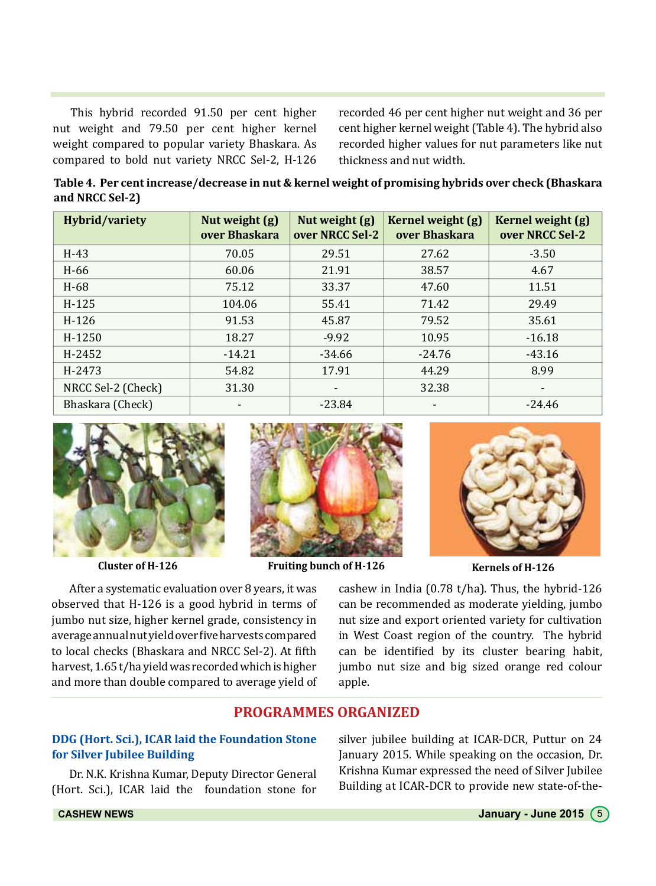This hybrid recorded 91.50 per cent higher nut weight and 79.50 per cent higher kernel weight compared to popular variety Bhaskara. As compared to bold nut variety NRCC Sel-2, H-126

recorded 46 per cent higher nut weight and 36 per cent higher kernel weight (Table 4). The hybrid also recorded higher values for nut parameters like nut thickness and nut width.

**Table 4. Per cent increase/decrease in nut & kernel weight of promising hybrids over check (Bhaskara and NRCC Sel-2)**

| <b>Hybrid/variety</b> | Nut weight (g)<br>over Bhaskara | Nut weight (g)<br>over NRCC Sel-2 | Kernel weight (g)<br>over Bhaskara | Kernel weight (g)<br>over NRCC Sel-2 |
|-----------------------|---------------------------------|-----------------------------------|------------------------------------|--------------------------------------|
| $H-43$                | 70.05                           | 29.51                             | 27.62                              | $-3.50$                              |
| $H-66$                | 60.06                           | 21.91                             | 38.57                              | 4.67                                 |
| $H-68$                | 75.12                           | 33.37                             | 47.60                              | 11.51                                |
| $H-125$               | 104.06                          | 55.41                             | 71.42                              | 29.49                                |
| $H-126$               | 91.53                           | 45.87                             | 79.52                              | 35.61                                |
| H-1250                | 18.27                           | $-9.92$                           | 10.95                              | $-16.18$                             |
| H-2452                | $-14.21$                        | $-34.66$                          | $-24.76$                           | $-43.16$                             |
| H-2473                | 54.82                           | 17.91                             | 44.29                              | 8.99                                 |
| NRCC Sel-2 (Check)    | 31.30                           | $\overline{\phantom{0}}$          | 32.38                              | ۰                                    |
| Bhaskara (Check)      |                                 | $-23.84$                          |                                    | $-24.46$                             |





**Cluster of H-126 Fruiting bunch of H-126 Kernels of H-126**



After a systematic evaluation over 8 years, it was observed that H-126 is a good hybrid in terms of jumbo nut size, higher kernel grade, consistency in average annual nut yield over five harvests compared to local checks (Bhaskara and NRCC Sel-2). At fifth harvest, 1.65 t/ha yield was recorded which is higher and more than double compared to average yield of cashew in India (0.78 t/ha). Thus, the hybrid-126 can be recommended as moderate yielding, jumbo nut size and export oriented variety for cultivation in West Coast region of the country. The hybrid can be identified by its cluster bearing habit, jumbo nut size and big sized orange red colour apple.

## **PROGRAMMES ORGANIZED**

## **DDG (Hort. Sci.), ICAR laid the Foundation Stone for Silver Jubilee Building**

Dr. N.K. Krishna Kumar, Deputy Director General (Hort. Sci.), ICAR laid the foundation stone for silver jubilee building at ICAR-DCR, Puttur on 24 January 2015. While speaking on the occasion, Dr. Krishna Kumar expressed the need of Silver Jubilee Building at ICAR-DCR to provide new state-of-the-

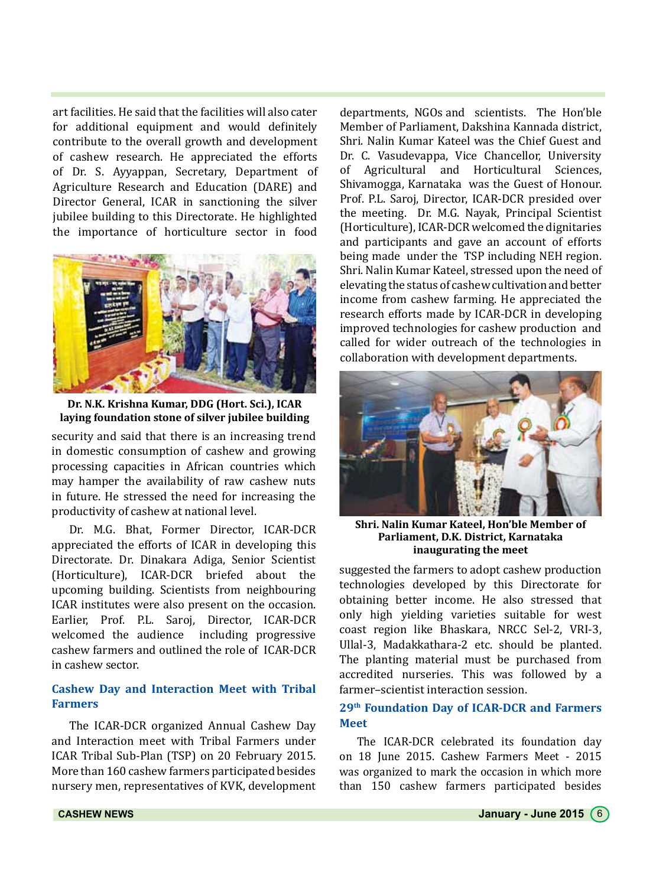art facilities. He said that the facilities will also cater for additional equipment and would definitely contribute to the overall growth and development of cashew research. He appreciated the efforts of Dr. S. Ayyappan, Secretary, Department of Agriculture Research and Education (DARE) and Director General, ICAR in sanctioning the silver jubilee building to this Directorate. He highlighted the importance of horticulture sector in food



**Dr. N.K. Krishna Kumar, DDG (Hort. Sci.), ICAR laying foundation stone of silver jubilee building**

security and said that there is an increasing trend in domestic consumption of cashew and growing processing capacities in African countries which may hamper the availability of raw cashew nuts in future. He stressed the need for increasing the productivity of cashew at national level.

Dr. M.G. Bhat, Former Director, ICAR-DCR appreciated the efforts of ICAR in developing this Directorate. Dr. Dinakara Adiga, Senior Scientist (Horticulture), ICAR-DCR briefed about the upcoming building. Scientists from neighbouring ICAR institutes were also present on the occasion. Earlier, Prof. P.L. Saroj, Director, ICAR-DCR welcomed the audience including progressive cashew farmers and outlined the role of ICAR-DCR in cashew sector.

## **Cashew Day and Interaction Meet with Tribal Farmers**

The ICAR-DCR organized Annual Cashew Day and Interaction meet with Tribal Farmers under ICAR Tribal Sub-Plan (TSP) on 20 February 2015. More than 160 cashew farmers participated besides nursery men, representatives of KVK, development departments, NGOs and scientists. The Hon'ble Member of Parliament, Dakshina Kannada district, Shri. Nalin Kumar Kateel was the Chief Guest and Dr. C. Vasudevappa, Vice Chancellor, University<br>of Agricultural and Horticultural Sciences. Agricultural and Horticultural Sciences, Shivamogga, Karnataka was the Guest of Honour. Prof. P.L. Saroj, Director, ICAR-DCR presided over the meeting. Dr. M.G. Nayak, Principal Scientist (Horticulture), ICAR-DCR welcomed the dignitaries and participants and gave an account of efforts being made under the TSP including NEH region. Shri. Nalin Kumar Kateel, stressed upon the need of elevating the status of cashew cultivation and better income from cashew farming. He appreciated the research efforts made by ICAR-DCR in developing improved technologies for cashew production and called for wider outreach of the technologies in collaboration with development departments.



**Shri. Nalin Kumar Kateel, Hon'ble Member of Parliament, D.K. District, Karnataka inaugurating the meet**

suggested the farmers to adopt cashew production technologies developed by this Directorate for obtaining better income. He also stressed that only high yielding varieties suitable for west coast region like Bhaskara, NRCC Sel-2, VRI-3, Ullal-3, Madakkathara-2 etc. should be planted. The planting material must be purchased from accredited nurseries. This was followed by a farmer–scientist interaction session.

## **29th Foundation Day of ICAR-DCR and Farmers Meet**

The ICAR-DCR celebrated its foundation day on 18 June 2015. Cashew Farmers Meet - 2015 was organized to mark the occasion in which more than 150 cashew farmers participated besides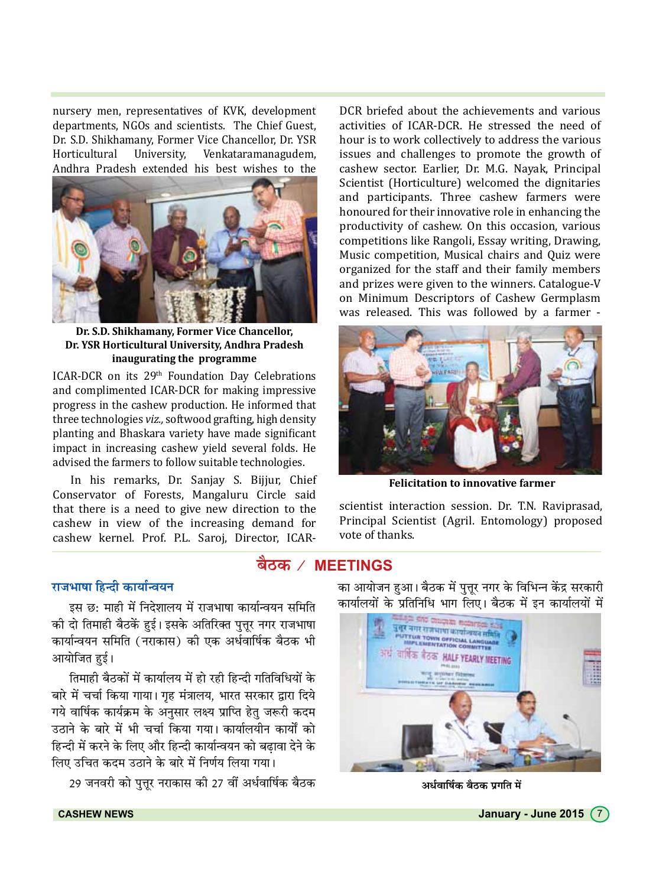nursery men, representatives of KVK, development departments, NGOs and scientists. The Chief Guest, Dr. S.D. Shikhamany, Former Vice Chancellor, Dr. YSR Horticultural University. Venkataramanagudem, Andhra Pradesh extended his best wishes to the



Dr. S.D. Shikhamany, Former Vice Chancellor, Dr. YSR Horticultural University, Andhra Pradesh inaugurating the programme

ICAR-DCR on its 29<sup>th</sup> Foundation Day Celebrations and complimented ICAR-DCR for making impressive progress in the cashew production. He informed that three technologies viz., softwood grafting, high density planting and Bhaskara variety have made significant impact in increasing cashew yield several folds. He advised the farmers to follow suitable technologies.

In his remarks, Dr. Sanjay S. Bijjur, Chief Conservator of Forests, Mangaluru Circle said that there is a need to give new direction to the cashew in view of the increasing demand for cashew kernel. Prof. P.L. Saroj, Director, ICAR-

DCR briefed about the achievements and various activities of ICAR-DCR. He stressed the need of hour is to work collectively to address the various issues and challenges to promote the growth of cashew sector. Earlier, Dr. M.G. Nayak, Principal Scientist (Horticulture) welcomed the dignitaries and participants. Three cashew farmers were honoured for their innovative role in enhancing the productivity of cashew. On this occasion, various competitions like Rangoli, Essay writing, Drawing, Music competition, Musical chairs and Quiz were organized for the staff and their family members and prizes were given to the winners. Catalogue-V on Minimum Descriptors of Cashew Germplasm was released. This was followed by a farmer -



**Felicitation to innovative farmer** 

scientist interaction session. Dr. T.N. Raviprasad, Principal Scientist (Agril. Entomology) proposed vote of thanks.

# बैठक / MEETINGS

# राजभाषा हिन्दी कार्यान्वयन

इस छ: माही में निदेशालय में राजभाषा कार्यान्वयन समिति की दो तिमाही बैठकें हुई। इसके अतिरिक्त पत्तर नगर राजभाषा कार्यान्वयन समिति (नराकास) की एक अर्धवार्षिक बैठक भी आयोजित हई।

तिमाही बैठकों में कार्यालय में हो रही हिन्दी गतिविधियों के बारे में चर्चा किया गाया। गृह मंत्रालय, भारत सरकार द्वारा दिये गये वार्षिक कार्यक्रम के अनुसार लक्ष्य प्राप्ति हेतु जरूरी कदम उठाने के बारे में भी चर्चा किया गया। कार्यालयीन कार्यों को हिन्दी में करने के लिए और हिन्दी कार्यान्वयन को बढावा देने के लिए उचित कदम उठाने के बारे में निर्णय लिया गया।

29 जनवरी को पुत्तूर नराकास की 27 वीं अर्धवार्षिक बैठक

का आयोजन हुआ। बैठक में पुत्तूर नगर के विभिन्न केंद्र सरकारी कार्यालयों के प्रतिनिधि भाग लिए। बैठक में इन कार्यालयों में



अर्धवार्षिक बैठक प्रगति में

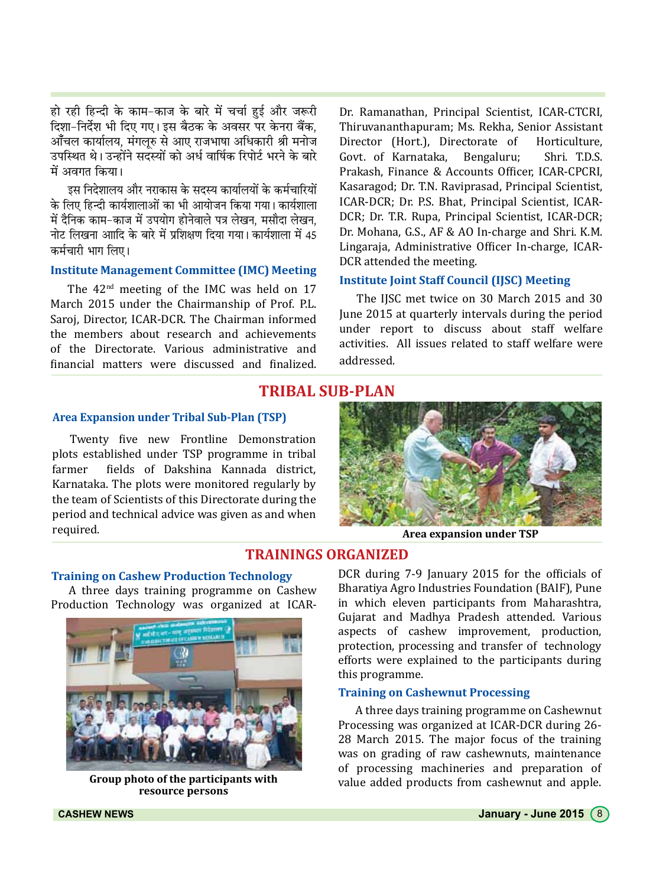हो रही हिन्दी के काम-काज के बारे में चर्चा हुई और जरूरी दिशा-निर्देश भी दिए गए। इस बैठक के अवसर पर केनरा बैंक. आँचल कार्यालय. मंगलरु से आए राजभाषा अधिकारी श्री मनोज उपस्थित थे। उन्होंने सदस्यों को अर्ध वार्षिक रिपोर्ट भरने के बारे में अवगत किया।

इस निदेशालय और नराकास के सदस्य कार्यालयों के कर्मचारियों के लिए हिन्दी कार्यशालाओं का भी आयोजन किया गया। कार्यशाला में दैनिक काम-काज में उपयोग होनेवाले पत्र लेखन. मसौदा लेखन. नोट लिखना आादि के बारे में प्रशिक्षण दिया गया। कार्यशाला में 45 कर्मचारी भाग लिए।

## **Institute Management Committee (IMC) Meeting**

The 42<sup>nd</sup> meeting of the IMC was held on 17 March 2015 under the Chairmanship of Prof. P.L. Saroj, Director, ICAR-DCR. The Chairman informed the members about research and achievements of the Directorate. Various administrative and financial matters were discussed and finalized. Dr. Ramanathan, Principal Scientist, ICAR-CTCRI, Thiruvananthapuram; Ms. Rekha, Senior Assistant Director (Hort.), Directorate of Horticulture, Govt. of Karnataka. Bengaluru: Shri TDS Prakash, Finance & Accounts Officer, ICAR-CPCRI. Kasaragod; Dr. T.N. Raviprasad, Principal Scientist, ICAR-DCR; Dr. P.S. Bhat, Principal Scientist, ICAR-DCR; Dr. T.R. Rupa, Principal Scientist, ICAR-DCR; Dr. Mohana, G.S., AF & AO In-charge and Shri, K.M. Lingaraja, Administrative Officer In-charge, ICAR-DCR attended the meeting.

## **Institute Joint Staff Council (IJSC) Meeting**

The IJSC met twice on 30 March 2015 and 30 June 2015 at quarterly intervals during the period under report to discuss about staff welfare activities. All issues related to staff welfare were addressed.

## **TRIBAL SUB-PLAN**

#### **Area Expansion under Tribal Sub-Plan (TSP)**

Twenty five new Frontline Demonstration plots established under TSP programme in tribal fields of Dakshina Kannada district, farmer Karnataka. The plots were monitored regularly by the team of Scientists of this Directorate during the period and technical advice was given as and when required.



Area expansion under TSP

## **TRAININGS ORGANIZED**

#### **Training on Cashew Production Technology**

A three days training programme on Cashew Production Technology was organized at ICAR-



Group photo of the participants with resource persons

DCR during 7-9 January 2015 for the officials of Bharatiya Agro Industries Foundation (BAIF), Pune in which eleven participants from Maharashtra, Gujarat and Madhya Pradesh attended. Various aspects of cashew improvement, production, protection, processing and transfer of technology efforts were explained to the participants during this programme.

#### **Training on Cashewnut Processing**

A three days training programme on Cashewnut Processing was organized at ICAR-DCR during 26-28 March 2015. The major focus of the training was on grading of raw cashewnuts, maintenance of processing machineries and preparation of value added products from cashewnut and apple.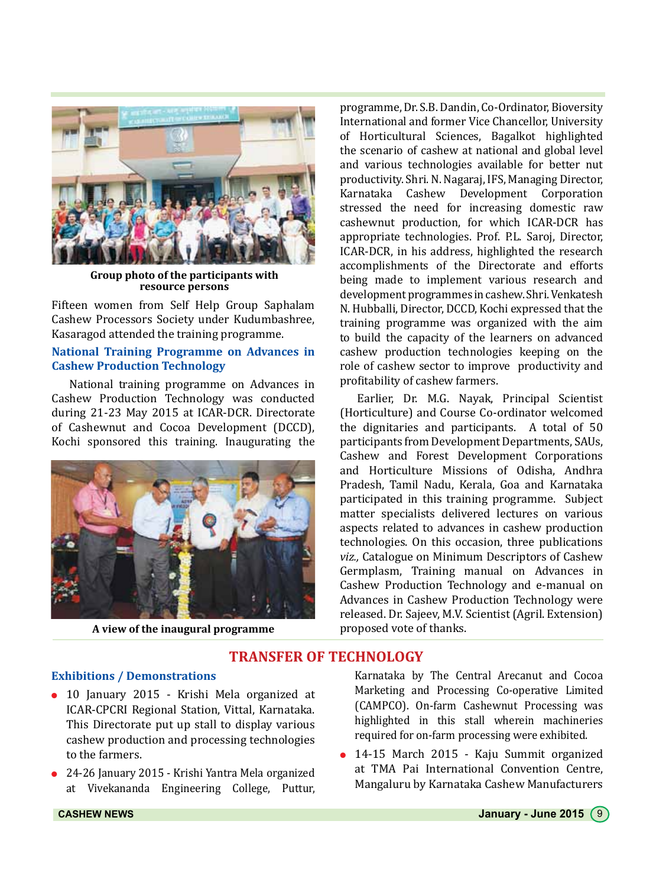

**Group photo of the participants with resource persons**

Fifteen women from Self Help Group Saphalam Cashew Processors Society under Kudumbashree, Kasaragod attended the training programme.

#### **National Training Programme on Advances in Cashew Production Technology**

National training programme on Advances in Cashew Production Technology was conducted during 21-23 May 2015 at ICAR-DCR. Directorate of Cashewnut and Cocoa Development (DCCD), Kochi sponsored this training. Inaugurating the



A view of the inaugural programme

programme, Dr. S.B. Dandin, Co-Ordinator, Bioversity International and former Vice Chancellor, University of Horticultural Sciences, Bagalkot highlighted the scenario of cashew at national and global level and various technologies available for better nut productivity. Shri. N. Nagaraj, IFS, Managing Director, Cashew Development Corporation stressed the need for increasing domestic raw cashewnut production, for which ICAR-DCR has appropriate technologies. Prof. P.L. Saroj, Director, ICAR-DCR, in his address, highlighted the research accomplishments of the Directorate and efforts being made to implement various research and development programmes in cashew. Shri. Venkatesh N. Hubballi, Director, DCCD, Kochi expressed that the training programme was organized with the aim to build the capacity of the learners on advanced cashew production technologies keeping on the role of cashew sector to improve productivity and profitability of cashew farmers.

Earlier, Dr. M.G. Nayak, Principal Scientist (Horticulture) and Course Co-ordinator welcomed the dignitaries and participants. A total of 50 participants from Development Departments, SAUs, Cashew and Forest Development Corporations and Horticulture Missions of Odisha, Andhra Pradesh, Tamil Nadu, Kerala, Goa and Karnataka participated in this training programme. Subject matter specialists delivered lectures on various aspects related to advances in cashew production technologies. On this occasion, three publications *viz.,* Catalogue on Minimum Descriptors of Cashew Germplasm, Training manual on Advances in Cashew Production Technology and e-manual on Advances in Cashew Production Technology were released. Dr. Sajeev, M.V. Scientist (Agril. Extension)

## **TRANSFER OF TECHNOLOGY**

## **Exhibitions / Demonstrations**

- 10 January 2015 Krishi Mela organized at ICAR-CPCRI Regional Station, Vittal, Karnataka. This Directorate put up stall to display various cashew production and processing technologies to the farmers.
- 24-26 January 2015 Krishi Yantra Mela organized at Vivekananda Engineering College, Puttur,

Karnataka by The Central Arecanut and Cocoa Marketing and Processing Co-operative Limited (CAMPCO). On-farm Cashewnut Processing was highlighted in this stall wherein machineries required for on-farm processing were exhibited.

• 14-15 March 2015 - Kaju Summit organized at TMA Pai International Convention Centre, Mangaluru by Karnataka Cashew Manufacturers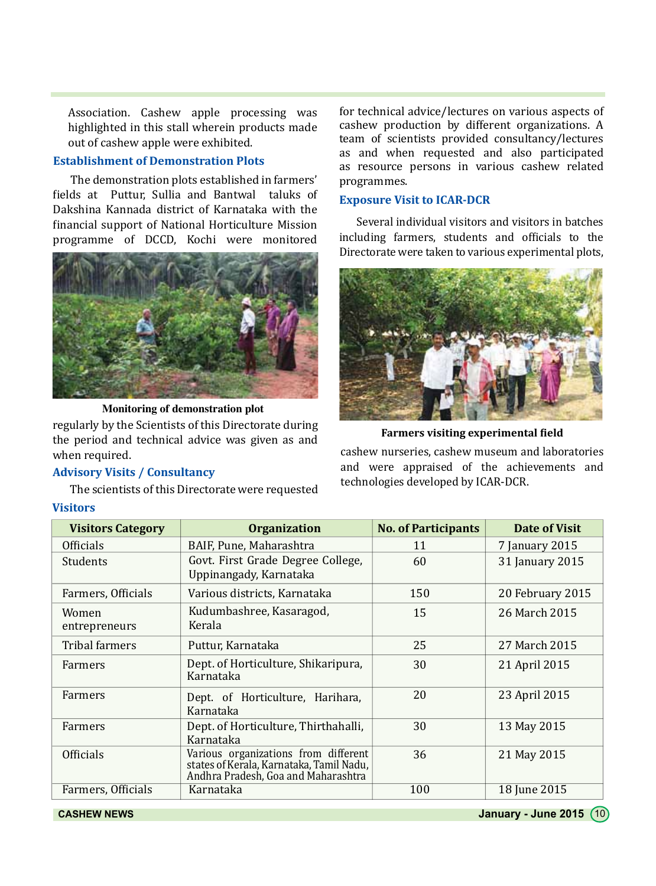Association. Cashew apple processing was highlighted in this stall wherein products made out of cashew apple were exhibited.

## **Establishment of Demonstration Plots**

The demonstration plots established in farmers' fields at Puttur, Sullia and Bantwal taluks of Dakshina Kannada district of Karnataka with the financial support of National Horticulture Mission programme of DCCD, Kochi were monitored



**Monitoring of demonstration plot**

regularly by the Scientists of this Directorate during the period and technical advice was given as and when required.

#### **Advisory Visits / Consultancy**

The scientists of this Directorate were requested

#### **Visitors**

for technical advice/lectures on various aspects of cashew production by different organizations. A team of scientists provided consultancy/lectures as and when requested and also participated as resource persons in various cashew related programmes.

## **Exposure Visit to ICAR-DCR**

Several individual visitors and visitors in batches including farmers, students and officials to the Directorate were taken to various experimental plots,



**Farmers visiting experimental field**

cashew nurseries, cashew museum and laboratories and were appraised of the achievements and technologies developed by ICAR-DCR.

| <b>Visitors Category</b> | <b>Organization</b>                                                                                                     | <b>No. of Participants</b> | Date of Visit    |
|--------------------------|-------------------------------------------------------------------------------------------------------------------------|----------------------------|------------------|
| <b>Officials</b>         | BAIF, Pune, Maharashtra                                                                                                 | 11                         | 7 January 2015   |
| <b>Students</b>          | Govt. First Grade Degree College,<br>Uppinangady, Karnataka                                                             | 60                         | 31 January 2015  |
| Farmers, Officials       | Various districts, Karnataka                                                                                            | 150                        | 20 February 2015 |
| Women<br>entrepreneurs   | Kudumbashree, Kasaragod,<br>Kerala                                                                                      | 15                         | 26 March 2015    |
| Tribal farmers           | Puttur, Karnataka                                                                                                       | 25                         | 27 March 2015    |
| Farmers                  | Dept. of Horticulture, Shikaripura,<br>Karnataka                                                                        | 30                         | 21 April 2015    |
| Farmers                  | Dept. of Horticulture, Harihara,<br>Karnataka                                                                           | 20                         | 23 April 2015    |
| Farmers                  | Dept. of Horticulture, Thirthahalli,<br>Karnataka                                                                       | 30                         | 13 May 2015      |
| <b>Officials</b>         | Various organizations from different<br>states of Kerala, Karnataka, Tamil Nadu,<br>Andhra Pradesh, Goa and Maharashtra | 36                         | 21 May 2015      |
| Farmers, Officials       | Karnataka                                                                                                               | 100                        | 18 June 2015     |

**CASHEW NEWS January - June 2015** (10)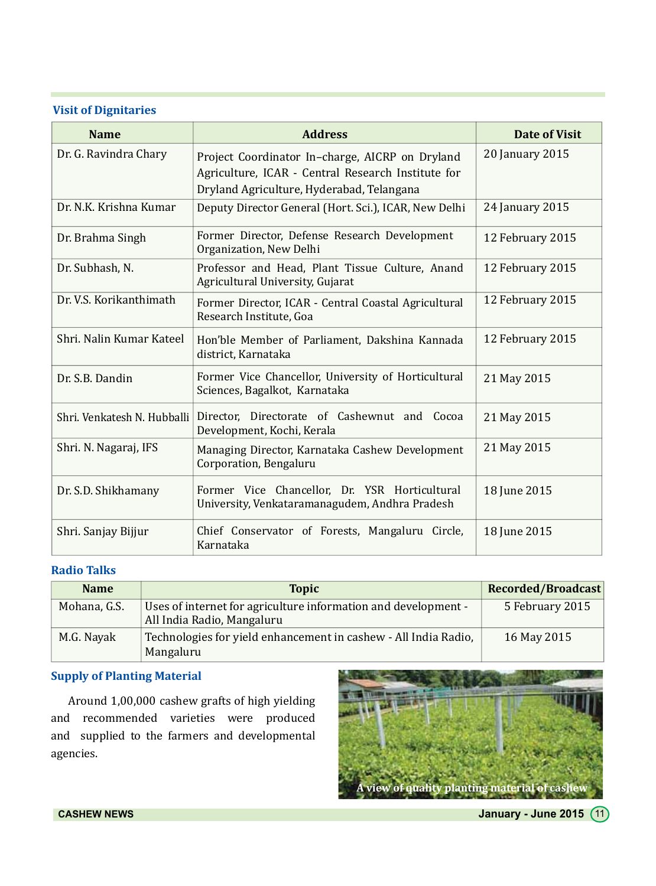## **Visit of Dignitaries**

| <b>Name</b>                 | <b>Address</b>                                                                                                                                     | Date of Visit    |
|-----------------------------|----------------------------------------------------------------------------------------------------------------------------------------------------|------------------|
| Dr. G. Ravindra Chary       | Project Coordinator In-charge, AICRP on Dryland<br>Agriculture, ICAR - Central Research Institute for<br>Dryland Agriculture, Hyderabad, Telangana | 20 January 2015  |
| Dr. N.K. Krishna Kumar      | Deputy Director General (Hort. Sci.), ICAR, New Delhi                                                                                              | 24 January 2015  |
| Dr. Brahma Singh            | Former Director, Defense Research Development<br>Organization, New Delhi                                                                           | 12 February 2015 |
| Dr. Subhash, N.             | Professor and Head, Plant Tissue Culture, Anand<br>Agricultural University, Gujarat                                                                | 12 February 2015 |
| Dr. V.S. Korikanthimath     | Former Director, ICAR - Central Coastal Agricultural<br>Research Institute, Goa                                                                    | 12 February 2015 |
| Shri. Nalin Kumar Kateel    | Hon'ble Member of Parliament, Dakshina Kannada<br>district, Karnataka                                                                              | 12 February 2015 |
| Dr. S.B. Dandin             | Former Vice Chancellor, University of Horticultural<br>Sciences, Bagalkot, Karnataka                                                               | 21 May 2015      |
| Shri. Venkatesh N. Hubballi | Director, Directorate of Cashewnut and Cocoa<br>Development, Kochi, Kerala                                                                         | 21 May 2015      |
| Shri. N. Nagaraj, IFS       | Managing Director, Karnataka Cashew Development<br>Corporation, Bengaluru                                                                          | 21 May 2015      |
| Dr. S.D. Shikhamany         | Former Vice Chancellor, Dr. YSR Horticultural<br>University, Venkataramanagudem, Andhra Pradesh                                                    | 18 June 2015     |
| Shri. Sanjay Bijjur         | Chief Conservator of Forests, Mangaluru Circle,<br>Karnataka                                                                                       | 18 June 2015     |

# **Radio Talks**

| <b>Name</b>  | <b>Topic</b>                                                                                 | <b>Recorded/Broadcast</b> |
|--------------|----------------------------------------------------------------------------------------------|---------------------------|
| Mohana, G.S. | Uses of internet for agriculture information and development -<br>All India Radio, Mangaluru | 5 February 2015           |
| M.G. Navak   | Technologies for yield enhancement in cashew - All India Radio,<br>Mangaluru                 | 16 May 2015               |

## **Supply of Planting Material**

Around 1,00,000 cashew grafts of high yielding and recommended varieties were produced and supplied to the farmers and developmental agencies.